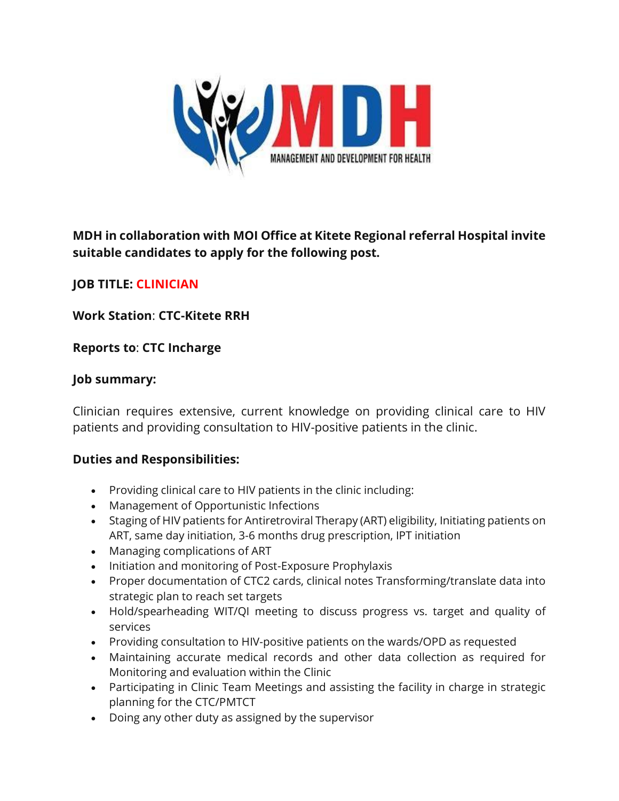

# **MDH in collaboration with MOI Office at Kitete Regional referral Hospital invite suitable candidates to apply for the following post.**

## **JOB TITLE: CLINICIAN**

## **Work Station**: **CTC-Kitete RRH**

## **Reports to**: **CTC Incharge**

#### **Job summary:**

Clinician requires extensive, current knowledge on providing clinical care to HIV patients and providing consultation to HIV-positive patients in the clinic.

## **Duties and Responsibilities:**

- Providing clinical care to HIV patients in the clinic including:
- Management of Opportunistic Infections
- Staging of HIV patients for Antiretroviral Therapy (ART) eligibility, Initiating patients on ART, same day initiation, 3-6 months drug prescription, IPT initiation
- Managing complications of ART
- Initiation and monitoring of Post-Exposure Prophylaxis
- Proper documentation of CTC2 cards, clinical notes Transforming/translate data into strategic plan to reach set targets
- Hold/spearheading WIT/QI meeting to discuss progress vs. target and quality of services
- Providing consultation to HIV-positive patients on the wards/OPD as requested
- Maintaining accurate medical records and other data collection as required for Monitoring and evaluation within the Clinic
- Participating in Clinic Team Meetings and assisting the facility in charge in strategic planning for the CTC/PMTCT
- Doing any other duty as assigned by the supervisor